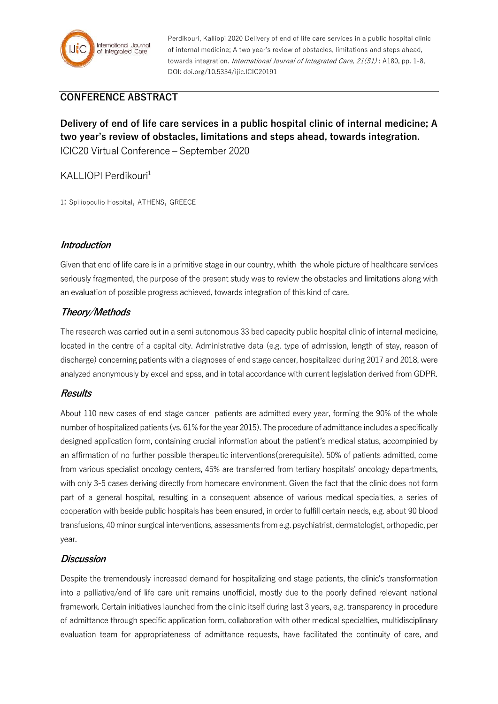

Perdikouri, Kalliopi 2020 Delivery of end of life care services in a public hospital clinic of internal medicine; A two year's review of obstacles, limitations and steps ahead, towards integration. *International Journal of Integrated Care, 21(S1)*: A180, pp. 1-8, DOI: doi.org/10.5334/ijic.ICIC20191

# **CONFERENCE ABSTRACT**

**Delivery of end of life care services in a public hospital clinic of internal medicine; A two year's review of obstacles, limitations and steps ahead, towards integration.** ICIC20 Virtual Conference – September 2020

## KALLIOPI Perdikouri<sup>1</sup>

1: Spiliopoulio Hospital, ATHENS, GREECE

## **Introduction**

Given that end of life care is in a primitive stage in our country, whith the whole picture of healthcare services seriously fragmented, the purpose of the present study was to review the obstacles and limitations along with an evaluation of possible progress achieved, towards integration of this kind of care.

## **Theory/Methods**

The research was carried out in a semi autonomous 33 bed capacity public hospital clinic of internal medicine, located in the centre of a capital city. Administrative data (e.g. type of admission, length of stay, reason of discharge) concerning patients with a diagnoses of end stage cancer, hospitalized during 2017 and 2018, were analyzed anonymously by excel and spss, and in total accordance with current legislation derived from GDPR.

#### **Results**

About 110 new cases of end stage cancer patients are admitted every year, forming the 90% of the whole number of hospitalized patients (vs. 61% for the year 2015). The procedure of admittance includes a specifically designed application form, containing crucial information about the patient's medical status, accompinied by an affirmation of no further possible therapeutic interventions(prerequisite). 50% of patients admitted, come from various specialist oncology centers, 45% are transferred from tertiary hospitals' oncology departments, with only 3-5 cases deriving directly from homecare environment. Given the fact that the clinic does not form part of a general hospital, resulting in a consequent absence of various medical specialties, a series of cooperation with beside public hospitals has been ensured, in order to fulfill certain needs, e.g. about 90 blood transfusions, 40 minor surgical interventions, assessments from e.g. psychiatrist, dermatologist, orthopedic, per year.

#### **Discussion**

Despite the tremendously increased demand for hospitalizing end stage patients, the clinic's transformation into a palliative/end of life care unit remains unofficial, mostly due to the poorly defined relevant national framework. Certain initiatives launched from the clinic itself during last 3 years, e.g. transparency in procedure of admittance through specific application form, collaboration with other medical specialties, multidisciplinary evaluation team for appropriateness of admittance requests, have facilitated the continuity of care, and